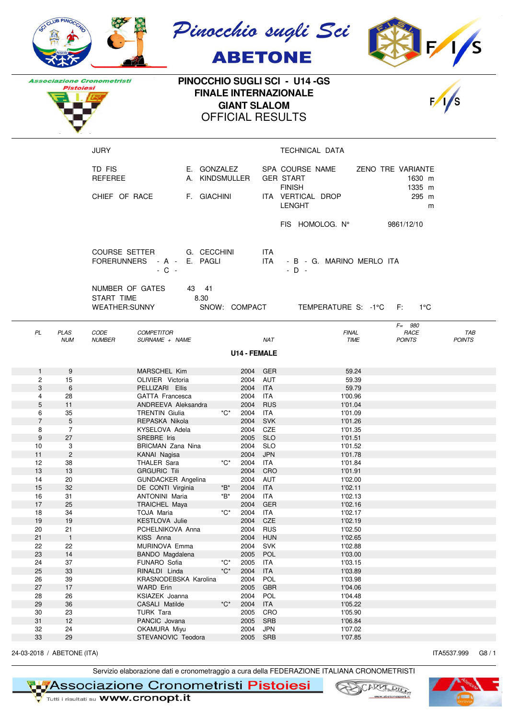|                                                                                                                                                                   | CLUB PINOCO                                                         |                                           |                                                                                                                                                                                  |                                                                            |                                                                                      |                                        | Pinocchio sugli Sci<br><b>ABETONE</b>                                                      |                                            |                                |  |
|-------------------------------------------------------------------------------------------------------------------------------------------------------------------|---------------------------------------------------------------------|-------------------------------------------|----------------------------------------------------------------------------------------------------------------------------------------------------------------------------------|----------------------------------------------------------------------------|--------------------------------------------------------------------------------------|----------------------------------------|--------------------------------------------------------------------------------------------|--------------------------------------------|--------------------------------|--|
| PINOCCHIO SUGLI SCI - U14 -GS<br><b>Associazione Cronometristi</b><br>Pistoiesi<br><b>FINALE INTERNAZIONALE</b><br><b>GIANT SLALOM</b><br><b>OFFICIAL RESULTS</b> |                                                                     |                                           |                                                                                                                                                                                  |                                                                            |                                                                                      |                                        |                                                                                            |                                            |                                |  |
|                                                                                                                                                                   |                                                                     | <b>JURY</b>                               |                                                                                                                                                                                  |                                                                            |                                                                                      |                                        | TECHNICAL DATA                                                                             |                                            |                                |  |
|                                                                                                                                                                   |                                                                     | TD FIS<br><b>REFEREE</b><br>CHIEF OF RACE | E. GONZALEZ<br>A. KINDSMULLER<br>F. GIACHINI                                                                                                                                     |                                                                            |                                                                                      |                                        | SPA COURSE NAME<br><b>GER START</b><br><b>FINISH</b><br>ITA VERTICAL DROP<br><b>LENGHT</b> | ZENO TRE VARIANTE                          | 1630 m<br>1335 m<br>295 m<br>m |  |
|                                                                                                                                                                   |                                                                     |                                           |                                                                                                                                                                                  |                                                                            |                                                                                      |                                        | FIS HOMOLOG. N°                                                                            | 9861/12/10                                 |                                |  |
|                                                                                                                                                                   |                                                                     |                                           | COURSE SETTER G. CECCHINI<br>FORERUNNERS - A - E. PAGLI<br>$-C -$                                                                                                                |                                                                            |                                                                                      | ITA.<br><b>ITA</b>                     | - B - G. MARINO MERLO ITA<br>$-$ D $-$                                                     |                                            |                                |  |
|                                                                                                                                                                   |                                                                     | NUMBER OF GATES<br>START TIME             | 43 41<br>8.30<br>WEATHER:SUNNY SNOW: COMPACT TEMPERATURE S: -1°C F: 1°C                                                                                                          |                                                                            |                                                                                      |                                        |                                                                                            |                                            |                                |  |
| PL                                                                                                                                                                | <b>PLAS</b><br><b>NUM</b>                                           | CODE<br><b>NUMBER</b>                     | <b>COMPETITOR</b><br>SURNAME + NAME                                                                                                                                              |                                                                            |                                                                                      | <b>NAT</b>                             | <b>FINAL</b>                                                                               | $F = 980$<br>RACE<br>TIME<br><b>POINTS</b> | <b>TAB</b><br><b>POINTS</b>    |  |
|                                                                                                                                                                   |                                                                     |                                           |                                                                                                                                                                                  |                                                                            | <b>U14 - FEMALE</b>                                                                  |                                        |                                                                                            |                                            |                                |  |
| $\mathbf{1}$<br>2<br>3<br>4<br>5<br>6<br>$\overline{7}$<br>8<br>$\boldsymbol{9}$                                                                                  | 9<br>15<br>6<br>28<br>11<br>35<br>$5\,$<br>$\overline{7}$<br>$27\,$ |                                           | MARSCHEL Kim<br>OLIVIER Victoria<br>PELLIZARI Ellis<br><b>GATTA Francesca</b><br>ANDREEVA Aleksandra<br><b>TRENTIN Giulia</b><br>REPASKA Nikola<br>KYSELOVA Adela<br>SREBRE Iris | *C*                                                                        | 2004 GER<br>2004 AUT<br>2004 ITA<br>2004 ITA<br>2004<br>2004<br>2004<br>2004<br>2005 | RUS<br>ITA<br>SVK<br>CZE<br><b>SLO</b> | 1'00.96<br>1'01.04<br>1'01.09<br>1'01.26<br>1'01.35<br>1'01.51                             | 59.24<br>59.39<br>59.79                    |                                |  |
| 10<br>11<br>12<br>$13$<br>14                                                                                                                                      | 3<br>$\sqrt{2}$<br>38<br>$13$<br>20                                 |                                           | <b>BRICMAN Zana Nina</b><br>KANAI Nagisa<br>THALER Sara<br><b>GRGURIC Tili</b><br>GUNDACKER Angelina                                                                             | *C*                                                                        | 2004<br>2004 JPN<br>2004<br>2004                                                     | <b>SLO</b><br>ITA<br>2004 CRO<br>AUT   | 1'01.52<br>1'01.78<br>1'01.84<br>1'01.91<br>1'02.00                                        |                                            |                                |  |
| $15\,$<br>16<br>17<br>18<br>19                                                                                                                                    | 32<br>31<br>25<br>34<br>19                                          |                                           | DE CONTI Virginia<br><b>ANTONINI Maria</b><br>TRAICHEL Maya<br>TOJA Maria<br>KESTLOVA Julie                                                                                      | $\displaystyle{ \raisebox{0.6ex}{\scriptsize{*}}} {\sf B}^*$<br>*B*<br>*C* | 2004 ITA<br>2004<br>2004<br>2004<br>2004                                             | <b>ITA</b><br>GER<br>ITA<br>CZE        | 1'02.11<br>1'02.13<br>1'02.16<br>1'02.17<br>1'02.19                                        |                                            |                                |  |
| 20<br>21<br>22<br>23                                                                                                                                              | 21<br>$\mathbf{1}$<br>22<br>14                                      |                                           | PCHELNIKOVA Anna<br>KISS Anna<br>MURINOVA Emma<br>BANDO Magdalena                                                                                                                |                                                                            | 2004<br>2004<br>2004<br>2005                                                         | <b>RUS</b><br>HUN<br>SVK<br>POL        | 1'02.50<br>1'02.65<br>1'02.88<br>1'03.00                                                   |                                            |                                |  |
| 24<br>25<br>26<br>27<br>28                                                                                                                                        | 37<br>33<br>39<br>17<br>26                                          |                                           | FUNARO Sofia<br>RINALDI Linda<br>KRASNODEBSKA Karolina<br><b>WARD Erin</b><br>KSIAZEK Joanna                                                                                     | *C*<br>$^{\ast}C^{\ast}$                                                   | 2005<br>2004<br>2004<br>2005<br>2004                                                 | ITA<br><b>ITA</b><br>POL<br>GBR<br>POL | 1'03.15<br>1'03.89<br>1'03.98<br>1'04.06                                                   | 1'04.48                                    |                                |  |
| 29<br>30<br>31<br>32<br>33                                                                                                                                        | $36\,$<br>23<br>12<br>24<br>29                                      |                                           | CASALI Matilde<br>TURK Tara<br>PANCIC Jovana<br>OKAMURA Miyu<br>STEVANOVIC Teodora                                                                                               | $^{\ast}C^{\ast}$                                                          | 2004<br>2005<br>2005<br>2004<br>2005 SRB                                             | ITA<br>CRO<br>SRB<br><b>JPN</b>        | 1'05.22<br>1'05.90<br>1'06.84<br>1'07.02<br>1'07.85                                        |                                            |                                |  |

24-03-2018 / ABETONE (ITA) G8 / 1

Servizio elaborazione dati e cronometraggio a cura della FEDERAZIONE ITALIANA CRONOMETRISTI<br>
Tutti i risultati su WWW.cronopt.it<br>
Tutti i risultati su WWW.cronopt.it



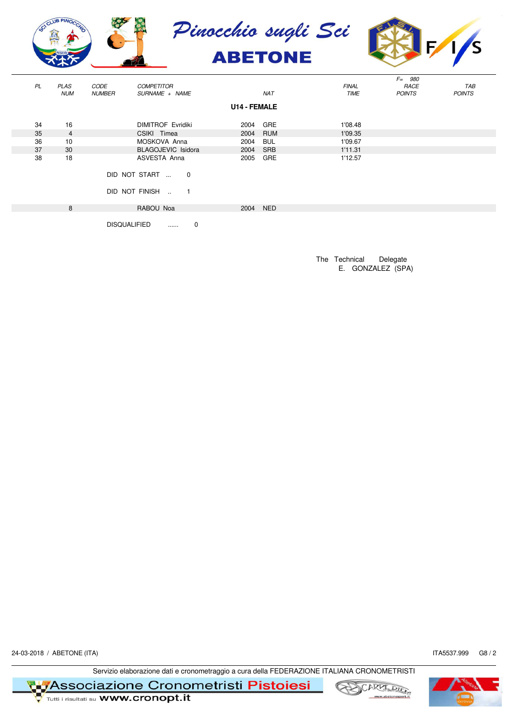



| <b>PL</b> | <b>PLAS</b><br><b>NUM</b> | CODE<br><b>NUMBER</b> | <b>COMPETITOR</b><br>SURNAME + NAME   |   |                     | <b>NAT</b> | <b>FINAL</b><br>TIME | $F = 980$<br>RACE<br><b>POINTS</b> | TAB<br><b>POINTS</b> |
|-----------|---------------------------|-----------------------|---------------------------------------|---|---------------------|------------|----------------------|------------------------------------|----------------------|
|           |                           |                       |                                       |   | <b>U14 - FEMALE</b> |            |                      |                                    |                      |
| 34        | 16                        |                       | <b>DIMITROF Evridiki</b>              |   | 2004                | GRE        | 1'08.48              |                                    |                      |
| 35        | $\overline{4}$            |                       | CSIKI Timea                           |   | 2004                | RUM        | 1'09.35              |                                    |                      |
| 36        | 10                        |                       | MOSKOVA Anna                          |   | 2004                | BUL        | 1'09.67              |                                    |                      |
| 37        | 30                        |                       | <b>BLAGOJEVIC Isidora</b>             |   | 2004                | <b>SRB</b> | 1'11.31              |                                    |                      |
| 38        | 18                        |                       | ASVESTA Anna                          |   | 2005                | GRE        | 1'12.57              |                                    |                      |
|           |                           |                       | DID NOT START  0<br>DID NOT FINISH  1 |   |                     |            |                      |                                    |                      |
|           | 8                         |                       | RABOU Noa                             |   | 2004                | <b>NED</b> |                      |                                    |                      |
|           |                           | <b>DISQUALIFIED</b>   | $\cdots$                              | 0 |                     |            |                      |                                    |                      |

The Technical Delegate E. GONZALEZ (SPA)

24-03-2018 / ABETONE (ITA) 17A5537.999 G8 / 2

Servizio elaborazione dati e cronometraggio a cura della FEDERAZIONE ITALIANA CRONOMETRISTI

**T Metal Secondia Secondia 21010 Cronometristi Pistoiesi**<br>The Tunti i risultati su **www.cronopt.it** 



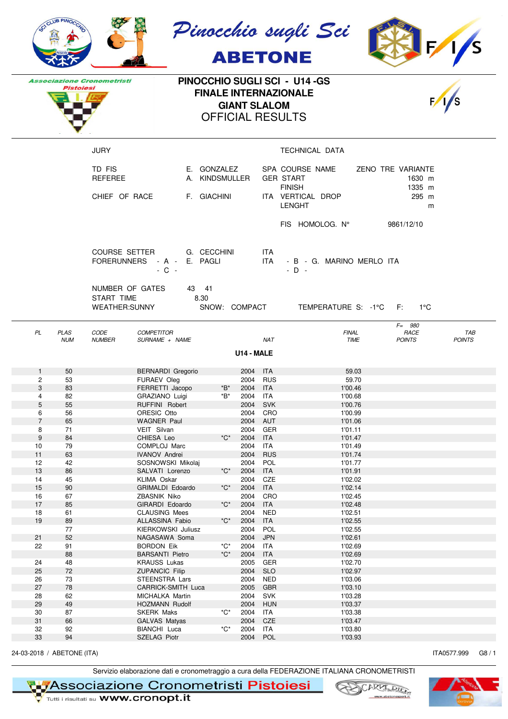|                | CLUB PINOCO               |                                                |                                                                   |                               |                      |                          | Pinocchio sugli Sci<br><b>ABETONE</b>                |                                       |                      |
|----------------|---------------------------|------------------------------------------------|-------------------------------------------------------------------|-------------------------------|----------------------|--------------------------|------------------------------------------------------|---------------------------------------|----------------------|
|                |                           | <b>Associazione Cronometristi</b>              |                                                                   |                               |                      |                          | PINOCCHIO SUGLI SCI - U14 -GS                        |                                       |                      |
|                | Pistoiesi                 |                                                |                                                                   |                               |                      |                          | <b>FINALE INTERNAZIONALE</b>                         |                                       |                      |
|                |                           |                                                |                                                                   | <b>OFFICIAL RESULTS</b>       | <b>GIANT SLALOM</b>  |                          |                                                      |                                       |                      |
|                |                           |                                                |                                                                   |                               |                      |                          |                                                      |                                       |                      |
|                |                           | <b>JURY</b>                                    |                                                                   |                               |                      |                          | TECHNICAL DATA                                       |                                       |                      |
|                |                           | TD FIS<br><b>REFEREE</b>                       |                                                                   | E. GONZALEZ<br>A. KINDSMULLER |                      |                          | SPA COURSE NAME<br><b>GER START</b><br><b>FINISH</b> | ZENO TRE VARIANTE<br>1630 m<br>1335 m |                      |
|                |                           | CHIEF OF RACE                                  | F. GIACHINI                                                       |                               |                      |                          | ITA VERTICAL DROP<br><b>LENGHT</b>                   | 295 m<br>m                            |                      |
|                |                           |                                                |                                                                   |                               |                      |                          | FIS HOMOLOG. N°                                      | 9861/12/10                            |                      |
|                |                           |                                                | COURSE SETTER G. CECCHINI<br>FORERUNNERS - A - E. PAGLI<br>$-C -$ |                               |                      | ITA<br><b>ITA</b>        | - B - G. MARINO MERLO ITA<br>$-D -$                  |                                       |                      |
|                |                           | NUMBER OF GATES<br>START TIME<br>WEATHER:SUNNY | 43 41<br>8.30                                                     | SNOW: COMPACT                 |                      |                          | TEMPERATURE S: -1°C F:                               | 1°C                                   |                      |
| PL             | <b>PLAS</b><br><b>NUM</b> | CODE<br><b>NUMBER</b>                          | <b>COMPETITOR</b><br>SURNAME + NAME                               |                               |                      | <b>NAT</b>               | <b>FINAL</b><br>TIME                                 | $F = 980$<br>RACE<br><b>POINTS</b>    | TAB<br><b>POINTS</b> |
|                |                           |                                                |                                                                   |                               | U14 - MALE           |                          |                                                      |                                       |                      |
| $\mathbf{1}$   | 50                        |                                                | <b>BERNARDI</b> Gregorio                                          |                               | 2004 ITA             |                          | 59.03                                                |                                       |                      |
| $\mathbf{2}$   | 53                        |                                                | FURAEV Oleg                                                       |                               | 2004 RUS             |                          | 59.70                                                |                                       |                      |
| 3<br>4         | 83<br>82                  |                                                | FERRETTI Jacopo<br>GRAZIANO Luigi                                 | *B*<br>*B*                    | 2004 ITA<br>2004 ITA |                          | 1'00.46<br>1'00.68                                   |                                       |                      |
| 5              | 55                        |                                                | RUFFINI Robert                                                    |                               | 2004                 | SVK                      | 1'00.76                                              |                                       |                      |
| 6              | 56                        |                                                | ORESIC Otto                                                       |                               |                      | 2004 CRO                 | 1'00.99                                              |                                       |                      |
| $\overline{7}$ | 65                        |                                                | <b>WAGNER Paul</b>                                                |                               | 2004 AUT             |                          | 1'01.06                                              |                                       |                      |
| 8<br>9         | 71<br>84                  |                                                | VEIT Silvan<br>CHIESA Leo                                         | $^{\ast}C^{\ast}$             | 2004<br>2004 ITA     | GER                      | 1'01.11<br>1'01.47                                   |                                       |                      |
| 10             | 79                        |                                                | COMPLOJ Marc                                                      |                               | 2004                 | ITA                      | 1'01.49                                              |                                       |                      |
| 11             | 63                        |                                                | <b>IVANOV Andrei</b>                                              |                               | 2004                 | <b>RUS</b>               | 1'01.74                                              |                                       |                      |
| 12             | 42                        |                                                | SOSNOWSKI Mikolaj                                                 |                               | 2004                 | POL                      | 1'01.77                                              |                                       |                      |
| $13$           | 86                        |                                                | SALVATI Lorenzo                                                   | *C*                           | 2004                 | ITA                      | 1'01.91                                              |                                       |                      |
| 14<br>15       | 45<br>90                  |                                                | KLIMA Oskar<br>GRIMALDI Edoardo                                   | ${}^\star \mathrm{C}^\star$   | 2004<br>2004         | CZE<br><b>ITA</b>        | 1'02.02<br>1'02.14                                   |                                       |                      |
| 16             | 67                        |                                                | ZBASNIK Niko                                                      |                               | 2004                 | CRO                      | 1'02.45                                              |                                       |                      |
| $17$           | 85                        |                                                | GIRARDI Edoardo                                                   | $^{\star}C^{\star}$           | 2004                 | <b>ITA</b>               | 1'02.48                                              |                                       |                      |
| 18             | 61                        |                                                | <b>CLAUSING Mees</b>                                              |                               | 2004                 | <b>NED</b>               | 1'02.51                                              |                                       |                      |
| 19             | 89                        |                                                | ALLASSINA Fabio                                                   | $^{\star}C^{\star}$           | 2004                 | <b>ITA</b>               | 1'02.55                                              |                                       |                      |
|                | 77                        |                                                | KIERKOWSKI Juliusz                                                |                               | 2004                 | POL                      | 1'02.55                                              |                                       |                      |
| 21<br>22       | 52<br>91                  |                                                | NAGASAWA Soma<br><b>BORDON Eik</b>                                | $^{\ast}C^{\ast}$             | 2004<br>2004         | <b>JPN</b><br>ITA        | 1'02.61<br>1'02.69                                   |                                       |                      |
|                | 88                        |                                                | <b>BARSANTI Pietro</b>                                            | $^{\star}C^{\star}$           | 2004                 | <b>ITA</b>               | 1'02.69                                              |                                       |                      |
| 24             | 48                        |                                                | <b>KRAUSS Lukas</b>                                               |                               | 2005                 | GER                      | 1'02.70                                              |                                       |                      |
| 25             | 72                        |                                                | <b>ZUPANCIC Filip</b>                                             |                               | 2004                 | <b>SLO</b>               | 1'02.97                                              |                                       |                      |
| 26             | 73                        |                                                | STEENSTRA Lars                                                    |                               | 2004                 | <b>NED</b>               | 1'03.06                                              |                                       |                      |
| 27             | 78                        |                                                | CARRICK-SMITH Luca                                                |                               | 2005                 | <b>GBR</b>               | 1'03.10                                              |                                       |                      |
| 28<br>29       | 62<br>49                  |                                                | MICHALKA Martin<br>HOZMANN Rudolf                                 |                               | 2004<br>2004         | <b>SVK</b><br><b>HUN</b> | 1'03.28<br>1'03.37                                   |                                       |                      |
| 30             | 87                        |                                                | <b>SKERK Maks</b>                                                 | $^{\star}C^{\star}$           | 2004                 | ITA                      | 1'03.38                                              |                                       |                      |
| 31             | 66                        |                                                | <b>GALVAS Matyas</b>                                              |                               | 2004                 | CZE                      | 1'03.47                                              |                                       |                      |
| 32             | 92                        |                                                | BIANCHI Luca                                                      | *C*                           | 2004                 | <b>ITA</b>               | 1'03.80                                              |                                       |                      |
| 33             | 94                        |                                                | SZELAG Piotr                                                      |                               | 2004                 | POL                      | 1'03.93                                              |                                       |                      |

24-03-2018 / ABETONE (ITA) G8 / 1

Servizio elaborazione dati e cronometraggio a cura della FEDERAZIONE ITALIANA CRONOMETRISTI



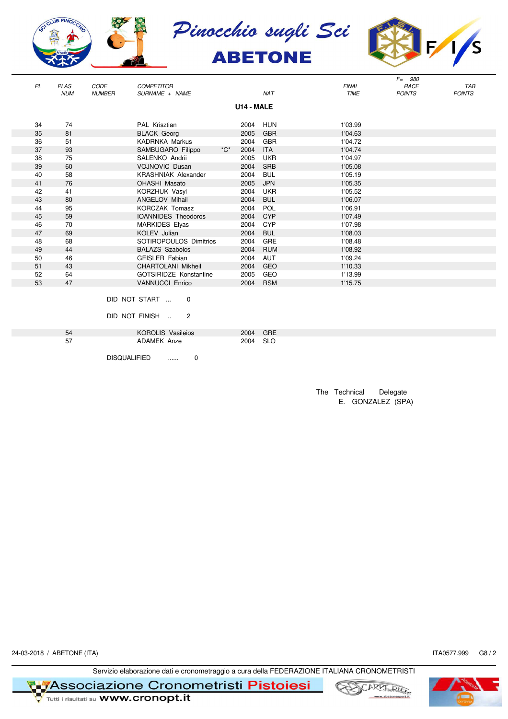







|    |             |               |                               |                     |            |            |              | $F = 980$     |               |
|----|-------------|---------------|-------------------------------|---------------------|------------|------------|--------------|---------------|---------------|
| PL | <b>PLAS</b> | CODE          | <b>COMPETITOR</b>             |                     |            |            | <b>FINAL</b> | RACE          | <b>TAB</b>    |
|    | <b>NUM</b>  | <b>NUMBER</b> | SURNAME + NAME                |                     |            | <b>NAT</b> | <b>TIME</b>  | <b>POINTS</b> | <b>POINTS</b> |
|    |             |               |                               |                     | U14 - MALE |            |              |               |               |
|    |             |               |                               |                     |            |            |              |               |               |
| 34 | 74          |               | PAL Krisztian                 |                     | 2004       | HUN        | 1'03.99      |               |               |
| 35 | 81          |               | <b>BLACK Georg</b>            |                     | 2005       | <b>GBR</b> | 1'04.63      |               |               |
| 36 | 51          |               | <b>KADRNKA Markus</b>         |                     | 2004       |            | 1'04.72      |               |               |
|    |             |               |                               |                     |            | <b>GBR</b> |              |               |               |
| 37 | 93          |               | SAMBUGARO Filippo             | $^{\star}C^{\star}$ | 2004       | <b>ITA</b> | 1'04.74      |               |               |
| 38 | 75          |               | SALENKO Andrii                |                     | 2005       | <b>UKR</b> | 1'04.97      |               |               |
| 39 | 60          |               | <b>VOJNOVIC Dusan</b>         |                     | 2004       | <b>SRB</b> | 1'05.08      |               |               |
| 40 | 58          |               | <b>KRASHNIAK Alexander</b>    |                     | 2004       | <b>BUL</b> | 1'05.19      |               |               |
| 41 | 76          |               | <b>OHASHI Masato</b>          |                     | 2005       | <b>JPN</b> | 1'05.35      |               |               |
| 42 | 41          |               | KORZHUK Vasyl                 |                     | 2004       | <b>UKR</b> | 1'05.52      |               |               |
| 43 | 80          |               | <b>ANGELOV Mihail</b>         |                     | 2004       | <b>BUL</b> | 1'06.07      |               |               |
| 44 | 95          |               | <b>KORCZAK Tomasz</b>         |                     | 2004       | <b>POL</b> | 1'06.91      |               |               |
| 45 | 59          |               | <b>IOANNIDES</b> Theodoros    |                     | 2004       | <b>CYP</b> | 1'07.49      |               |               |
| 46 | 70          |               | <b>MARKIDES Elyas</b>         |                     | 2004       | <b>CYP</b> | 1'07.98      |               |               |
| 47 | 69          |               | <b>KOLEV Julian</b>           |                     | 2004       | <b>BUL</b> | 1'08.03      |               |               |
| 48 | 68          |               | SOTIROPOULOS Dimitrios        |                     | 2004       | GRE        | 1'08.48      |               |               |
| 49 | 44          |               | <b>BALAZS Szabolcs</b>        |                     | 2004       | <b>RUM</b> | 1'08.92      |               |               |
| 50 | 46          |               | <b>GEISLER Fabian</b>         |                     | 2004       | <b>AUT</b> | 1'09.24      |               |               |
| 51 | 43          |               | <b>CHARTOLANI Mikheil</b>     |                     | 2004       | <b>GEO</b> | 1'10.33      |               |               |
| 52 | 64          |               | <b>GOTSIRIDZE Konstantine</b> |                     | 2005       | GEO        | 1'13.99      |               |               |
| 53 | 47          |               | <b>VANNUCCI Enrico</b>        |                     | 2004       | <b>RSM</b> | 1'15.75      |               |               |
|    |             |               |                               |                     |            |            |              |               |               |
|    |             |               | DID NOT START<br>0            |                     |            |            |              |               |               |

DID NOT FINISH .. 2

| 54  | <b>KOROLIS Vasileios</b> | 2004 GRE |  |
|-----|--------------------------|----------|--|
| -57 | ADAMEK Anze              | 2004 SLO |  |
|     |                          |          |  |

DISQUALIFIED ...... 0

The Technical Delegate E. GONZALEZ (SPA)

24-03-2018 / ABETONE (ITA) 17A0577.999 G8 / 2

Servizio elaborazione dati e cronometraggio a cura della FEDERAZIONE ITALIANA CRONOMETRISTI

**Associazione Cronometristi Pistoiesi**<br>Tutti i risultati su WWW.cronopt.it





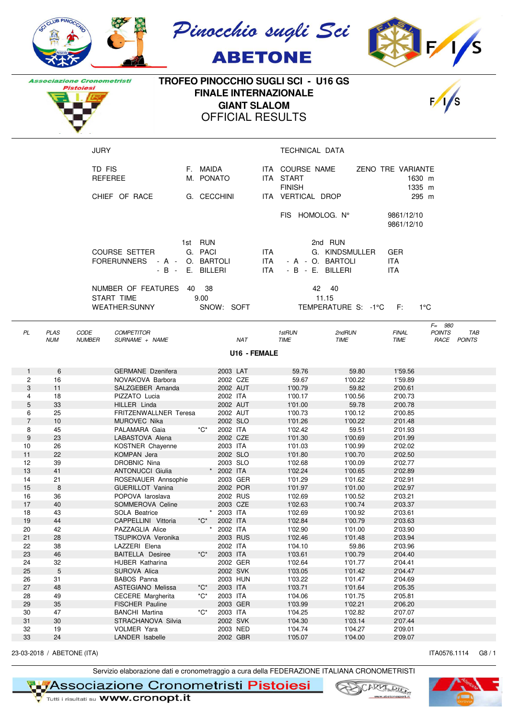

**Pistoiesi** 





**TROFEO PINOCCHIO SUGLI SCI - U16 GS Associazione Cronometristi FINALE INTERNAZIONALE GIANT SLALOM** OFFICIAL RESULTS



|                                 | <b>JURY</b>                                                  |                                                      |                       | TECHNICAL DATA                                                    |                                                                                                  |
|---------------------------------|--------------------------------------------------------------|------------------------------------------------------|-----------------------|-------------------------------------------------------------------|--------------------------------------------------------------------------------------------------|
|                                 | TD FIS<br>REFEREE                                            | F. MAIDA<br>M. PONATO                                | ITA START             | ITA COURSE NAME<br><b>FINISH</b>                                  | ZENO TRE VARIANTE<br>1630 m<br>1335 m                                                            |
|                                 | CHIEF OF RACE                                                | G. CECCHINI                                          | ITA                   | VERTICAL DROP                                                     | 295 m                                                                                            |
|                                 |                                                              |                                                      |                       | FIS HOMOLOG. N°                                                   | 9861/12/10<br>9861/12/10                                                                         |
|                                 | COURSE SETTER<br><b>FORERUNNERS</b><br>$- A -$<br>$-B -$     | 1st RUN<br>G. PACI<br>BARTOLI<br>O.<br>E.<br>BILLERI | ITA.<br>ITA.<br>ITA.  | 2nd RUN<br>G. KINDSMULLER<br>- A - O. BARTOLI<br>- B - E. BILLERI | <b>GER</b><br>ITA.<br><b>ITA</b>                                                                 |
|                                 | NUMBER OF FEATURES<br>START TIME<br><b>WEATHER:SUNNY</b>     | - 38<br>40<br>9.00<br>SNOW: SOFT                     |                       | 42 40<br>11.15<br>TEMPERATURE S: -1°C F:                          | $1^{\circ}$ C                                                                                    |
| PL<br><b>PLAS</b><br><b>NUM</b> | CODE<br><b>COMPETITOR</b><br><b>NUMBER</b><br>SURNAME + NAME | <b>NAT</b>                                           | 1stRUN<br><b>TIME</b> | 2ndRUN<br><b>TIME</b>                                             | $F = 980$<br><b>TAE</b><br><b>FINAL</b><br><b>POINTS</b><br><b>TIME</b><br>RACE<br><b>POINTS</b> |

**U16 - FEMALE**

| $\mathbf{1}$   | 6  | <b>GERMANE</b> Dzenifera |                         | 2003 LAT   | 59.76   | 59.80   | 1'59.56 |
|----------------|----|--------------------------|-------------------------|------------|---------|---------|---------|
| 2              | 16 | NOVAKOVA Barbora         |                         | 2002 CZE   | 59.67   | 1'00.22 | 1'59.89 |
| 3              | 11 | SALZGEBER Amanda         |                         | 2002 AUT   | 1'00.79 | 59.82   | 2'00.61 |
| 4              | 18 | PIZZATO Lucia            |                         | 2002 ITA   | 1'00.17 | 1'00.56 | 2'00.73 |
| 5              | 33 | HILLER Linda             |                         | 2002 AUT   | 1'01.00 | 59.78   | 2'00.78 |
| 6              | 25 | FRITZENWALLNER Teresa    |                         | 2002 AUT   | 1'00.73 | 1'00.12 | 2'00.85 |
| $\overline{7}$ | 10 | <b>MUROVEC Nika</b>      |                         | 2002 SLO   | 1'01.26 | 1'00.22 | 2'01.48 |
| 8              | 45 | PALAMARA Gaia            | $^{\star}C^{\star}$     | 2002 ITA   | 1'02.42 | 59.51   | 2'01.93 |
| $9\,$          | 23 | LABASTOVA Alena          |                         | 2002 CZE   | 1'01.30 | 1'00.69 | 2'01.99 |
| 10             | 26 | KOSTNER Chayenne         |                         | 2003 ITA   | 1'01.03 | 1'00.99 | 2'02.02 |
| 11             | 22 | KOMPAN Jera              |                         | 2002 SLO   | 1'01.80 | 1'00.70 | 2'02.50 |
| 12             | 39 | <b>DROBNIC Nina</b>      |                         | 2003 SLO   | 1'02.68 | 1'00.09 | 2'02.77 |
| 13             | 41 | <b>ANTONUCCI Giulia</b>  |                         | * 2002 ITA | 1'02.24 | 1'00.65 | 2'02.89 |
| 14             | 21 | ROSENAUER Annsophie      |                         | 2003 GER   | 1'01.29 | 1'01.62 | 2'02.91 |
| 15             | 8  | <b>GUERILLOT Vanina</b>  |                         | 2002 POR   | 1'01.97 | 1'01.00 | 2'02.97 |
| 16             | 36 | POPOVA laroslava         |                         | 2002 RUS   | 1'02.69 | 1'00.52 | 2'03.21 |
| 17             | 40 | SOMMEROVA Celine         |                         | 2003 CZE   | 1'02.63 | 1'00.74 | 2'03.37 |
| 18             | 43 | SOLA Beatrice            |                         | 2003 ITA   | 1'02.69 | 1'00.92 | 2'03.61 |
| 19             | 44 | CAPPELLINI Vittoria      | $^{\star}C^{\star}$     | 2002 ITA   | 1'02.84 | 1'00.79 | 2'03.63 |
| 20             | 42 | PAZZAGLIA Alice          |                         | 2002 ITA   | 1'02.90 | 1'01.00 | 2'03.90 |
| 21             | 28 | TSUPIKOVA Veronika       |                         | 2003 RUS   | 1'02.46 | 1'01.48 | 2'03.94 |
| 22             | 38 | LAZZERI Elena            |                         | 2002 ITA   | 1'04.10 | 59.86   | 2'03.96 |
| 23             | 46 | <b>BAITELLA Desiree</b>  | $^{\star}$ C $^{\star}$ | 2003 ITA   | 1'03.61 | 1'00.79 | 2'04.40 |
| 24             | 32 | <b>HUBER Katharina</b>   |                         | 2002 GER   | 1'02.64 | 1'01.77 | 2'04.41 |
| 25             | 5  | SUROVA Alica             |                         | 2002 SVK   | 1'03.05 | 1'01.42 | 2'04.47 |
| 26             | 31 | <b>BABOS Panna</b>       |                         | 2003 HUN   | 1'03.22 | 1'01.47 | 2'04.69 |
| 27             | 48 | <b>ASTEGIANO Melissa</b> | $^{\star}C^{\star}$     | 2003 ITA   | 1'03.71 | 1'01.64 | 2'05.35 |
| 28             | 49 | <b>CECERE</b> Margherita | $^{\star}C^{\star}$     | 2003 ITA   | 1'04.06 | 1'01.75 | 2'05.81 |
| 29             | 35 | FISCHER Pauline          |                         | 2003 GER   | 1'03.99 | 1'02.21 | 2'06.20 |
| 30             | 47 | <b>BANCHI Martina</b>    | $^{\star}C^{\star}$     | 2003 ITA   | 1'04.25 | 1'02.82 | 2'07.07 |
| 31             | 30 | STRACHANOVA Silvia       |                         | 2002 SVK   | 1'04.30 | 1'03.14 | 2'07.44 |
| 32             | 19 | <b>VOLMER Yara</b>       |                         | 2003 NED   | 1'04.74 | 1'04.27 | 2'09.01 |
| 33             | 24 | LANDER Isabelle          |                         | 2002 GBR   | 1'05.07 | 1'04.00 | 2'09.07 |
|                |    |                          |                         |            |         |         |         |

23-03-2018 / ABETONE (ITA) (38 / 1) 1740576.1114 G8 / 1

Servizio elaborazione dati e cronometraggio a cura della FEDERAZIONE ITALIANA CRONOMETRISTI

Associazione Cronometristi Pistoiesi



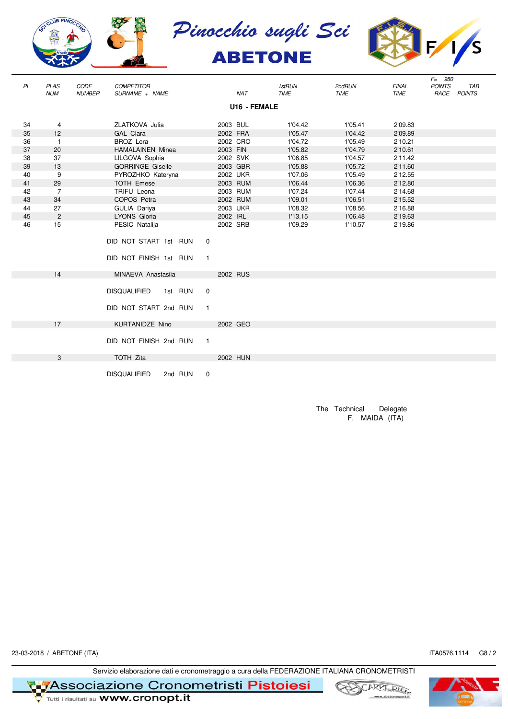







|    |                           |                              |                                     |         |                |          |              |                       |                       |                             | $F = 980$     |                           |
|----|---------------------------|------------------------------|-------------------------------------|---------|----------------|----------|--------------|-----------------------|-----------------------|-----------------------------|---------------|---------------------------|
| PL | <b>PLAS</b><br><b>NUM</b> | <b>CODE</b><br><b>NUMBER</b> | <b>COMPETITOR</b><br>SURNAME + NAME |         |                |          | <b>NAT</b>   | 1stRUN<br><b>TIME</b> | 2ndRUN<br><b>TIME</b> | <b>FINAL</b><br><b>TIME</b> | <b>POINTS</b> | <b>TAB</b><br>RACE POINTS |
|    |                           |                              |                                     |         |                |          | U16 - FEMALE |                       |                       |                             |               |                           |
|    |                           |                              |                                     |         |                |          |              |                       |                       |                             |               |                           |
| 34 | 4                         |                              | ZLATKOVA Julia                      |         |                | 2003 BUL |              | 1'04.42               | 1'05.41               | 2'09.83                     |               |                           |
| 35 | 12                        |                              | GAL Clara                           |         |                | 2002 FRA |              | 1'05.47               | 1'04.42               | 2'09.89                     |               |                           |
| 36 | $\mathbf{1}$              |                              | BROZ Lora                           |         |                |          | 2002 CRO     | 1'04.72               | 1'05.49               | 2'10.21                     |               |                           |
| 37 | 20                        |                              | <b>HAMALAINEN Minea</b>             |         |                | 2003 FIN |              | 1'05.82               | 1'04.79               | 2'10.61                     |               |                           |
| 38 | 37                        |                              | LILGOVA Sophia                      |         |                | 2002 SVK |              | 1'06.85               | 1'04.57               | 2'11.42                     |               |                           |
| 39 | 13                        |                              | <b>GORRINGE Giselle</b>             |         |                |          | 2003 GBR     | 1'05.88               | 1'05.72               | 2'11.60                     |               |                           |
| 40 | 9                         |                              | PYROZHKO Kateryna                   |         |                |          | 2002 UKR     | 1'07.06               | 1'05.49               | 2'12.55                     |               |                           |
| 41 | 29                        |                              | <b>TOTH Emese</b>                   |         |                |          | 2003 RUM     | 1'06.44               | 1'06.36               | 2'12.80                     |               |                           |
| 42 | $\overline{7}$            |                              | TRIFU Leona                         |         |                |          | 2003 RUM     | 1'07.24               | 1'07.44               | 2'14.68                     |               |                           |
| 43 | 34                        |                              | COPOS Petra                         |         |                |          | 2002 RUM     | 1'09.01               | 1'06.51               | 2'15.52                     |               |                           |
| 44 | 27                        |                              | GULIA Dariya                        |         |                |          | 2003 UKR     | 1'08.32               | 1'08.56               | 2'16.88                     |               |                           |
| 45 | $\overline{2}$            |                              | LYONS Gloria                        |         |                | 2002 IRL |              | 1'13.15               | 1'06.48               | 2'19.63                     |               |                           |
| 46 | 15                        |                              | PESIC Natalija                      |         |                | 2002 SRB |              | 1'09.29               | 1'10.57               | 2'19.86                     |               |                           |
|    |                           |                              |                                     |         |                |          |              |                       |                       |                             |               |                           |
|    |                           |                              | DID NOT START 1st RUN               |         | $\mathbf 0$    |          |              |                       |                       |                             |               |                           |
|    |                           |                              |                                     |         |                |          |              |                       |                       |                             |               |                           |
|    |                           |                              | DID NOT FINISH 1st RUN              |         | $\mathbf{1}$   |          |              |                       |                       |                             |               |                           |
|    |                           |                              |                                     |         |                |          |              |                       |                       |                             |               |                           |
|    | 14                        |                              | MINAEVA Anastasija                  |         |                |          | 2002 RUS     |                       |                       |                             |               |                           |
|    |                           |                              |                                     |         |                |          |              |                       |                       |                             |               |                           |
|    |                           |                              | <b>DISQUALIFIED</b>                 | 1st RUN | $\mathbf 0$    |          |              |                       |                       |                             |               |                           |
|    |                           |                              |                                     |         |                |          |              |                       |                       |                             |               |                           |
|    |                           |                              | DID NOT START 2nd RUN               |         | $\overline{1}$ |          |              |                       |                       |                             |               |                           |
|    |                           |                              |                                     |         |                |          |              |                       |                       |                             |               |                           |
|    | 17                        |                              | <b>KURTANIDZE Nino</b>              |         |                |          | 2002 GEO     |                       |                       |                             |               |                           |
|    |                           |                              |                                     |         |                |          |              |                       |                       |                             |               |                           |
|    |                           |                              | DID NOT FINISH 2nd RUN              |         | $\overline{1}$ |          |              |                       |                       |                             |               |                           |
|    |                           |                              |                                     |         |                |          |              |                       |                       |                             |               |                           |
|    | 3                         |                              | <b>TOTH Zita</b>                    |         |                |          | 2002 HUN     |                       |                       |                             |               |                           |
|    |                           |                              |                                     |         |                |          |              |                       |                       |                             |               |                           |
|    |                           |                              | <b>DISQUALIFIED</b>                 | 2nd RUN | $\mathbf 0$    |          |              |                       |                       |                             |               |                           |

The Technical Delegate F. MAIDA (ITA)

23-03-2018 / ABETONE (ITA) ITA0576.1114 G8 / 2

Servizio elaborazione dati e cronometraggio a cura della FEDERAZIONE ITALIANA CRONOMETRISTI

**T Metal Secondia Secondia 21010 Cronometristi Pistoiesi**<br>The Tunti i risultati su **www.cronopt.it** 





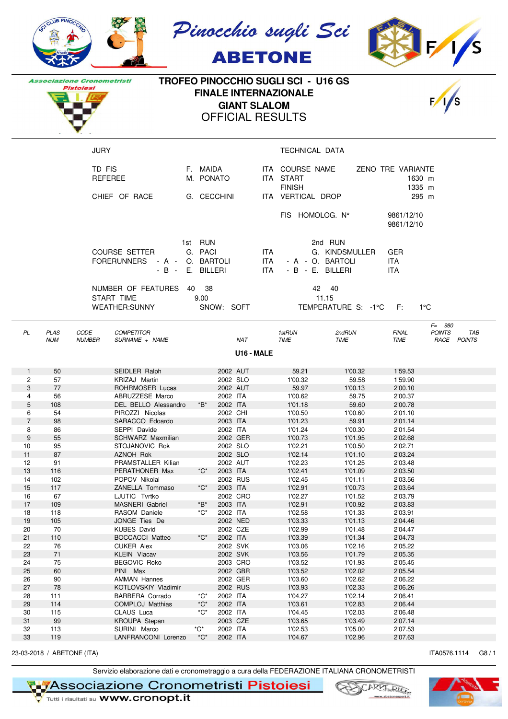





**Associazione Cronometristi Pistoiesi** 

## **TROFEO PINOCCHIO SUGLI SCI - U16 GS FINALE INTERNAZIONALE GIANT SLALOM** OFFICIAL RESULTS

JURY **TECHNICAL DATA** 



| TD FIS<br><b>REFEREE</b><br>CHIEF OF RACE                | MAIDA<br>E.<br>M. PONATO<br>G. CECCHINI                                  | ITA COURSE NAME<br>ITA START<br><b>FINISH</b><br>VERTICAL DROP<br>ITA I                   | ZENO TRE VARIANTE<br>1630 m<br>1335 m<br>295 m |
|----------------------------------------------------------|--------------------------------------------------------------------------|-------------------------------------------------------------------------------------------|------------------------------------------------|
|                                                          |                                                                          | HOMOLOG. N°<br>FIS -                                                                      | 9861/12/10<br>9861/12/10                       |
| <b>COURSE SETTER</b><br><b>FORERUNNERS</b>               | <b>RUN</b><br>1st -<br>G. PACI<br>- A - O. BARTOLI<br>$-B - E$ . BILLERI | 2nd RUN<br>ITA.<br>G. KINDSMULLER<br>ITA.<br>- A - O. BARTOLI<br>ITA.<br>$-B - F$ BILLERL | <b>GER</b><br><b>ITA</b><br><b>ITA</b>         |
| NUMBER OF FEATURES<br>START TIME<br><b>WEATHER:SUNNY</b> | 38<br>40<br>9.00<br>SNOW:<br><b>SOFT</b>                                 | 42<br>-40<br>11.15<br>TEMPERATURE S: -1°C                                                 | E:<br>1°C                                      |

| PL | PLAS       | <b>CODE</b>   | <b>COMPETITOR</b>        |            | 1stRUN      | 2ndRUN      | <b>FINAL</b> | 980<br>$F=$<br><b>POINTS</b> | <b>TAB</b>    |  |
|----|------------|---------------|--------------------------|------------|-------------|-------------|--------------|------------------------------|---------------|--|
|    | <b>NUM</b> | <b>NUMBER</b> | <b>NAME</b><br>SURNAME - | <b>NAT</b> | <b>TIME</b> | <b>TIME</b> | <b>TIME</b>  | RACE                         | <b>POINTS</b> |  |
|    |            |               |                          | U16 - MALE |             |             |              |                              |               |  |

| $\mathbf{1}$   | 50  | SEIDLER Ralph            |                          | 2002 AUT | 59.21   | 1'00.32 | 1'59.53 |  |
|----------------|-----|--------------------------|--------------------------|----------|---------|---------|---------|--|
| 2              | 57  | KRIZAJ Martin            |                          | 2002 SLO | 1'00.32 | 59.58   | 1'59.90 |  |
| 3              | 77  | <b>ROHRMOSER Lucas</b>   |                          | 2002 AUT | 59.97   | 1'00.13 | 2'00.10 |  |
| 4              | 56  | ABRUZZESE Marco          |                          | 2002 ITA | 1'00.62 | 59.75   | 2'00.37 |  |
| 5              | 108 | DEL BELLO Alessandro     | *B*                      | 2002 ITA | 1'01.18 | 59.60   | 2'00.78 |  |
| 6              | 54  | PIROZZI Nicolas          |                          | 2002 CHI | 1'00.50 | 1'00.60 | 2'01.10 |  |
| $\overline{7}$ | 98  | SARACCO Edoardo          |                          | 2003 ITA | 1'01.23 | 59.91   | 2'01.14 |  |
| 8              | 86  | SEPPI Davide             |                          | 2002 ITA | 1'01.24 | 1'00.30 | 2'01.54 |  |
| 9              | 55  | <b>SCHWARZ Maxmilian</b> |                          | 2002 GER | 1'00.73 | 1'01.95 | 2'02.68 |  |
| 10             | 95  | STOJANOVIC Rok           |                          | 2002 SLO | 1'02.21 | 1'00.50 | 2'02.71 |  |
| 11             | 87  | <b>AZNOH Rok</b>         |                          | 2002 SLO | 1'02.14 | 1'01.10 | 2'03.24 |  |
| 12             | 91  | PRAMSTALLER Kilian       |                          | 2002 AUT | 1'02.23 | 1'01.25 | 2'03.48 |  |
| 13             | 116 | PERATHONER Max           | $^{\star}C^{\star}$      | 2003 ITA | 1'02.41 | 1'01.09 | 2'03.50 |  |
| 14             | 102 | POPOV Nikolai            |                          | 2002 RUS | 1'02.45 | 1'01.11 | 2'03.56 |  |
| 15             | 117 | ZANELLA Tommaso          | $^{\ast}$ C $^{\ast}$    | 2003 ITA | 1'02.91 | 1'00.73 | 2'03.64 |  |
| 16             | 67  | LJUTIC Tvrtko            |                          | 2002 CRO | 1'02.27 | 1'01.52 | 2'03.79 |  |
| 17             | 109 | <b>MASNERI</b> Gabriel   | $\boldsymbol{B}^{\star}$ | 2003 ITA | 1'02.91 | 1'00.92 | 2'03.83 |  |
| 18             | 118 | RASOM Daniele            | $^{\star}C^{\star}$      | 2002 ITA | 1'02.58 | 1'01.33 | 2'03.91 |  |
| 19             | 105 | JONGE Ties De            |                          | 2002 NED | 1'03.33 | 1'01.13 | 2'04.46 |  |
| 20             | 70  | <b>KUBES David</b>       |                          | 2002 CZE | 1'02.99 | 1'01.48 | 2'04.47 |  |
| 21             | 110 | <b>BOCCACCI Matteo</b>   | $^{\ast}C^{\ast}$        | 2002 ITA | 1'03.39 | 1'01.34 | 2'04.73 |  |
| 22             | 76  | <b>CUKER Alex</b>        |                          | 2002 SVK | 1'03.06 | 1'02.16 | 2'05.22 |  |
| 23             | 71  | <b>KLEIN Vlacav</b>      |                          | 2002 SVK | 1'03.56 | 1'01.79 | 2'05.35 |  |
| 24             | 75  | <b>BEGOVIC Roko</b>      |                          | 2003 CRO | 1'03.52 | 1'01.93 | 2'05.45 |  |
| 25             | 60  | PINI Max                 |                          | 2002 GBR | 1'03.52 | 1'02.02 | 2'05.54 |  |
| 26             | 90  | <b>AMMAN Hannes</b>      |                          | 2002 GER | 1'03.60 | 1'02.62 | 2'06.22 |  |
| 27             | 78  | KOTLOVSKIY Vladimir      |                          | 2002 RUS | 1'03.93 | 1'02.33 | 2'06.26 |  |
| 28             | 111 | <b>BARBERA Corrado</b>   | $^{\star}C^{\star}$      | 2002 ITA | 1'04.27 | 1'02.14 | 2'06.41 |  |
| 29             | 114 | <b>COMPLOJ Matthias</b>  | $^{\star}C^{\star}$      | 2002 ITA | 1'03.61 | 1'02.83 | 2'06.44 |  |
| 30             | 115 | CLAUS Luca               | $^{\star}C^{\star}$      | 2002 ITA | 1'04.45 | 1'02.03 | 2'06.48 |  |
| 31             | 99  | KROUPA Stepan            |                          | 2003 CZE | 1'03.65 | 1'03.49 | 2'07.14 |  |
| 32             | 113 | SURINI Marco             | $^{\star}$ C $^{\star}$  | 2002 ITA | 1'02.53 | 1'05.00 | 2'07.53 |  |
| 33             | 119 | LANFRANCONI Lorenzo      | $^{\star}C^{\star}$      | 2002 ITA | 1'04.67 | 1'02.96 | 2'07.63 |  |
|                |     |                          |                          |          |         |         |         |  |

23-03-2018 / ABETONE (ITA) (38 / 1) 1740576.1114 G8 / 1

Servizio elaborazione dati e cronometraggio a cura della FEDERAZIONE ITALIANA CRONOMETRISTI

Associazione Cronometristi Pistoiesi